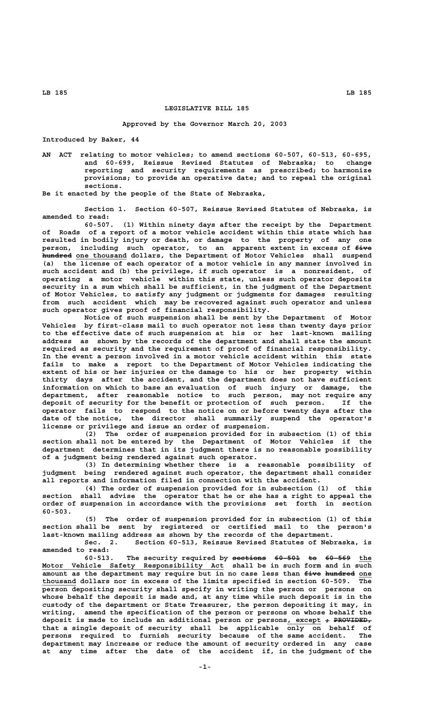**LB 185 LB 185**

## **LEGISLATIVE BILL 185**

## **Approved by the Governor March 20, 2003**

**Introduced by Baker, 44**

**AN ACT relating to motor vehicles; to amend sections 60-507, 60-513, 60-695, and 60-699, Reissue Revised Statutes of Nebraska; to change reporting and security requirements as prescribed; to harmonize provisions; to provide an operative date; and to repeal the original sections.**

**Be it enacted by the people of the State of Nebraska,**

**Section 1. Section 60-507, Reissue Revised Statutes of Nebraska, is amended to read:**

**60-507. (1) Within ninety days after the receipt by the Department of Roads of a report of a motor vehicle accident within this state which has resulted in bodily injury or death, or damage to the property of any one** person, including such operator, to an apparent extent in excess of  $f$ ive  **——————— \_\_\_\_\_\_\_\_\_\_\_\_ hundred one thousand dollars, the Department of Motor Vehicles shall suspend (a) the license of each operator of a motor vehicle in any manner involved in such accident and (b) the privilege, if such operator is a nonresident, of operating a motor vehicle within this state, unless such operator deposits security in a sum which shall be sufficient, in the judgment of the Department of Motor Vehicles, to satisfy any judgment or judgments for damages resulting from such accident which may be recovered against such operator and unless such operator gives proof of financial responsibility.**

**Notice of such suspension shall be sent by the Department of Motor Vehicles by first-class mail to such operator not less than twenty days prior to the effective date of such suspension at his or her last-known mailing address as shown by the records of the department and shall state the amount required as security and the requirement of proof of financial responsibility. In the event a person involved in a motor vehicle accident within this state fails to make a report to the Department of Motor Vehicles indicating the extent of his or her injuries or the damage to his or her property within thirty days after the accident, and the department does not have sufficient information on which to base an evaluation of such injury or damage, the department, after reasonable notice to such person, may not require any deposit of security for the benefit or protection of such person. If the operator fails to respond to the notice on or before twenty days after the date of the notice, the director shall summarily suspend the operator's license or privilege and issue an order of suspension.**

**(2) The order of suspension provided for in subsection (1) of this section shall not be entered by the Department of Motor Vehicles if the department determines that in its judgment there is no reasonable possibility of a judgment being rendered against such operator.**

**(3) In determining whether there is a reasonable possibility of judgment being rendered against such operator, the department shall consider all reports and information filed in connection with the accident.**

**(4) The order of suspension provided for in subsection (1) of this section shall advise the operator that he or she has a right to appeal the order of suspension in accordance with the provisions set forth in section 60-503.**

**(5) The order of suspension provided for in subsection (1) of this section shall be sent by registered or certified mail to the person's last-known mailing address as shown by the records of the department.**

**Sec. 2. Section 60-513, Reissue Revised Statutes of Nebraska, is amended to read:**

60-513. The security required by sections 60-501 to 60-569 the Motor Vehicle Safety Responsibility Act shall be in such form and in such amount as the department may require but in no case less than  $\pm$ ive hundred one  **\_\_\_\_\_\_\_\_ thousand dollars nor in excess of the limits specified in section 60-509. The person depositing security shall specify in writing the person or persons on whose behalf the deposit is made and, at any time while such deposit is in the custody of the department or State Treasurer, the person depositing it may, in writing, amend the specification of the person or persons on whose behalf the** deposit is made to include an additional person or persons, except + PR<del>OVIDED,</del> **that a single deposit of security shall be applicable only on behalf of persons required to furnish security because of the same accident. The department may increase or reduce the amount of security ordered in any case at any time after the date of the accident if, in the judgment of the**